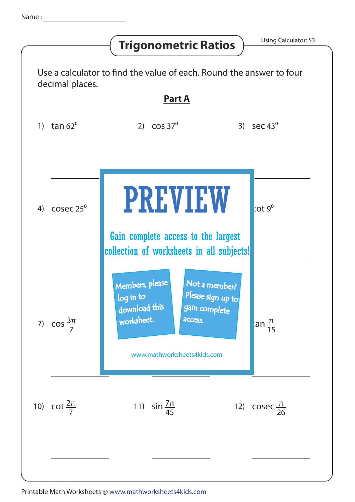